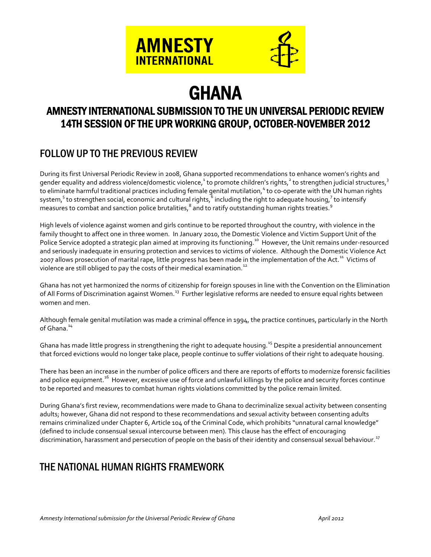



# **GHANA**

# AMNESTY INTERNATIONAL SUBMISSION TO THE UN UNIVERSAL PERIODIC REVIEW 14TH SESSION OF THE UPR WORKING GROUP, OCTOBER-NOVEMBER 2012

# FOLLOW UP TO THE PREVIOUS REVIEW

During its first Universal Periodic Review in 2008, Ghana supported recommendations to enhance women's rights and gender equality and address violence/domestic violence,<sup>1</sup> to promote children's rights,<sup>2</sup> to strengthen judicial structures,<sup>3</sup> to eliminate harmful traditional practices including female genital mutilation,<sup>4</sup> to co-operate with the UN human rights system, $^5$  to strengthen social, economic and cultural rights,  $\rm\bar{5}$  including the right to adequate housing,  $^7$  to intensify measures to combat and sanction police brutalities,  $^8$  and to ratify outstanding human rights treaties.  $^9$ 

High levels of violence against women and girls continue to be reported throughout the country, with violence in the family thought to affect one in three women. In January 2010, the Domestic Violence and Victim Support Unit of the Police Service adopted a strategic plan aimed at improving its functioning.<sup>10</sup> However, the Unit remains under-resourced and seriously inadequate in ensuring protection and services to victims of violence. Although the Domestic Violence Act 2007 allows prosecution of marital rape, little progress has been made in the implementation of the Act.<sup>11</sup> Victims of violence are still obliged to pay the costs of their medical examination.<sup>12</sup>

Ghana has not yet harmonized the norms of citizenship for foreign spouses in line with the Convention on the Elimination of All Forms of Discrimination against Women.<sup>13</sup> Further legislative reforms are needed to ensure equal rights between women and men.

Although female genital mutilation was made a criminal offence in 1994, the practice continues, particularly in the North of Ghana.<sup>14</sup>

Ghana has made little progress in strengthening the right to adequate housing.<sup>15</sup> Despite a presidential announcement that forced evictions would no longer take place, people continue to suffer violations of their right to adequate housing.

There has been an increase in the number of police officers and there are reports of efforts to modernize forensic facilities and police equipment.<sup>16</sup> However, excessive use of force and unlawful killings by the police and security forces continue to be reported and measures to combat human rights violations committed by the police remain limited.

During Ghana's first review, recommendations were made to Ghana to decriminalize sexual activity between consenting adults; however, Ghana did not respond to these recommendations and sexual activity between consenting adults remains criminalized under Chapter 6, Article 104 of the Criminal Code, which prohibits "unnatural carnal knowledge" (defined to include consensual sexual intercourse between men). This clause has the effect of encouraging discrimination, harassment and persecution of people on the basis of their identity and consensual sexual behaviour.<sup>17</sup>

# THE NATIONAL HUMAN RIGHTS FRAMEWORK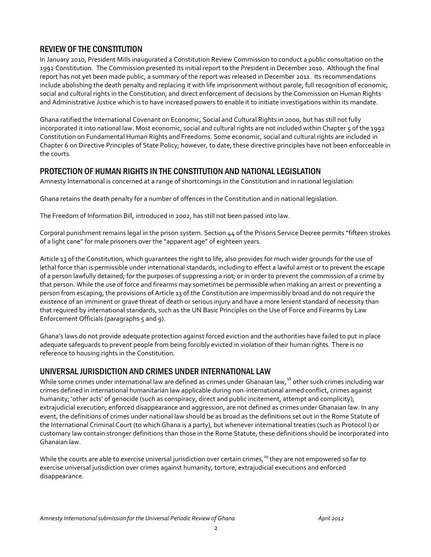## REVIEW OF THE CONSTITUTION

In January 2010, President Mills inaugurated a Constitution Review Commission to conduct a public consultation on the 1992 Constitution. The Commission presented its initial report to the President in December 2010. Although the final report has not yet been made public, a summary of the report was released in December 2011. Its recommendations include abolishing the death penalty and replacing it with life imprisonment without parole; full recognition of economic, social and cultural rights in the Constitution; and direct enforcement of decisions by the Commission on Human Rights and Administrative Justice which is to have increased powers to enable it to initiate investigations within its mandate.

Ghana ratified the International Covenant on Economic, Social and Cultural Rights in 2000, but has still not fully incorporated it into national law. Most economic, social and cultural rights are not included within Chapter 5 of the 1992 Constitution on Fundamental Human Rights and Freedoms. Some economic, social and cultural rights are included in Chapter 6 on Directive Principles of State Policy; however, to date, these directive principles have not been enforceable in the courts.

## PROTECTION OF HUMAN RIGHTS IN THE CONSTITUTION AND NATIONAL LEGISLATION

Amnesty International is concerned at a range of shortcomings in the Constitution and in national legislation:

Ghana retains the death penalty for a number of offences in the Constitution and in national legislation.

The Freedom of Information Bill, introduced in 2002, has still not been passed into law.

Corporal punishment remains legal in the prison system. Section 44 of the Prisons Service Decree permits "fifteen strokes of a light cane" for male prisoners over the "apparent age" of eighteen years.

Article 13 of the Constitution, which guarantees the right to life, also provides for much wider grounds for the use of lethal force than is permissible under international standards, including to effect a lawful arrest or to prevent the escape of a person lawfully detained; for the purposes of suppressing a riot; or in order to prevent the commission of a crime by that person. While the use of force and firearms may sometimes be permissible when making an arrest or preventing a person from escaping, the provisions of Article 13 of the Constitution are impermissibly broad and do not require the existence of an imminent or grave threat of death or serious injury and have a more lenient standard of necessity than that required by international standards, such as the UN Basic Principles on the Use of Force and Firearms by Law Enforcement Officials (paragraphs 5 and 9).

Ghana's laws do not provide adequate protection against forced eviction and the authorities have failed to put in place adequate safeguards to prevent people from being forcibly evicted in violation of their human rights. There is no reference to housing rights in the Constitution.

## UNIVERSAL JURISDICTION AND CRIMES UNDER INTERNATIONAL LAW

While some crimes under international law are defined as crimes under Ghanaian law,<sup>18</sup> other such crimes including war crimes defined in international humanitarian law applicable during non-international armed conflict, crimes against humanity; 'other acts' of genocide (such as conspiracy, direct and public incitement, attempt and complicity); extrajudicial execution; enforced disappearance and aggression, are not defined as crimes under Ghanaian law. In any event, the definitions of crimes under national law should be as broad as the definitions set out in the Rome Statute of the International Criminal Court (to which Ghana is a party), but whenever international treaties (such as Protocol I) or customary law contain stronger definitions than those in the Rome Statute, these definitions should be incorporated into Ghanaian law.

While the courts are able to exercise universal jurisdiction over certain crimes, $19$  they are not empowered so far to exercise universal jurisdiction over crimes against humanity, torture, extrajudicial executions and enforced disappearance.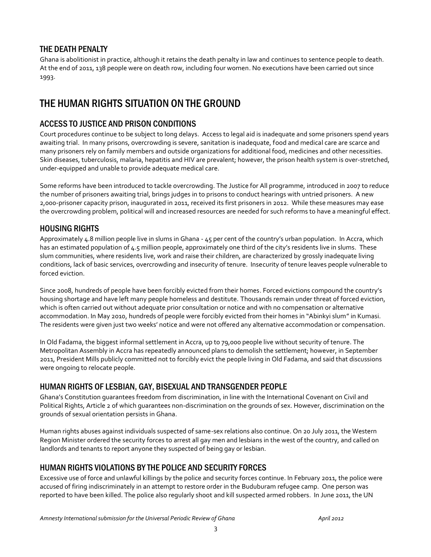## THE DEATH PENALTY

Ghana is abolitionist in practice, although it retains the death penalty in law and continues to sentence people to death. At the end of 2011, 138 people were on death row, including four women. No executions have been carried out since 1993.

## THE HUMAN RIGHTS SITUATION ON THE GROUND

## ACCESS TO JUSTICE AND PRISON CONDITIONS

Court procedures continue to be subject to long delays. Access to legal aid is inadequate and some prisoners spend years awaiting trial. In many prisons, overcrowding is severe, sanitation is inadequate, food and medical care are scarce and many prisoners rely on family members and outside organizations for additional food, medicines and other necessities. Skin diseases, tuberculosis, malaria, hepatitis and HIV are prevalent; however, the prison health system is over-stretched, under-equipped and unable to provide adequate medical care.

Some reforms have been introduced to tackle overcrowding. The Justice for All programme, introduced in 2007 to reduce the number of prisoners awaiting trial, brings judges in to prisons to conduct hearings with untried prisoners. A new 2,000-prisoner capacity prison, inaugurated in 2011, received its first prisoners in 2012. While these measures may ease the overcrowding problem, political will and increased resources are needed for such reforms to have a meaningful effect.

## HOUSING RIGHTS

Approximately 4.8 million people live in slums in Ghana - 45 per cent of the country's urban population. In Accra, which has an estimated population of 4.5 million people, approximately one third of the city's residents live in slums. These slum communities, where residents live, work and raise their children, are characterized by grossly inadequate living conditions, lack of basic services, overcrowding and insecurity of tenure. Insecurity of tenure leaves people vulnerable to forced eviction.

Since 2008, hundreds of people have been forcibly evicted from their homes. Forced evictions compound the country's housing shortage and have left many people homeless and destitute. Thousands remain under threat of forced eviction, which is often carried out without adequate prior consultation or notice and with no compensation or alternative accommodation. In May 2010, hundreds of people were forcibly evicted from their homes in "Abinkyi slum" in Kumasi. The residents were given just two weeks' notice and were not offered any alternative accommodation or compensation.

In Old Fadama, the biggest informal settlement in Accra, up to 79,000 people live without security of tenure. The Metropolitan Assembly in Accra has repeatedly announced plans to demolish the settlement; however, in September 2011, President Mills publicly committed not to forcibly evict the people living in Old Fadama, and said that discussions were ongoing to relocate people.

## HUMAN RIGHTS OF LESBIAN, GAY, BISEXUAL AND TRANSGENDER PEOPLE

Ghana's Constitution guarantees freedom from discrimination, in line with the International Covenant on Civil and Political Rights, Article 2 of which guarantees non-discrimination on the grounds of sex. However, discrimination on the grounds of sexual orientation persists in Ghana.

Human rights abuses against individuals suspected of same-sex relations also continue. On 20 July 2011, the Western Region Minister ordered the security forces to arrest all gay men and lesbians in the west of the country, and called on landlords and tenants to report anyone they suspected of being gay or lesbian.

## HUMAN RIGHTS VIOLATIONS BY THE POLICE AND SECURITY FORCES

Excessive use of force and unlawful killings by the police and security forces continue. In February 2011, the police were accused of firing indiscriminately in an attempt to restore order in the Buduburam refugee camp. One person was reported to have been killed. The police also regularly shoot and kill suspected armed robbers. In June 2011, the UN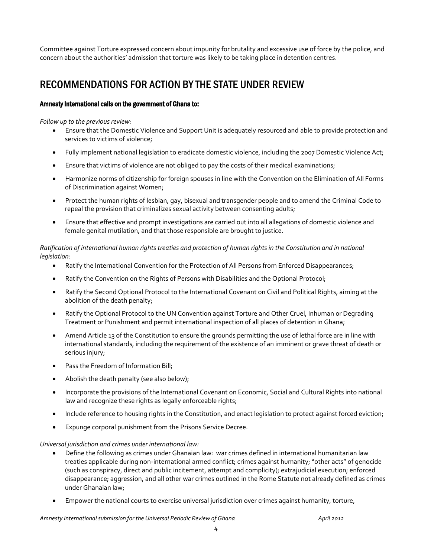Committee against Torture expressed concern about impunity for brutality and excessive use of force by the police, and concern about the authorities' admission that torture was likely to be taking place in detention centres.

# RECOMMENDATIONS FOR ACTION BY THE STATE UNDER REVIEW

### Amnesty International calls on the government of Ghana to:

#### *Follow up to the previous review:*

- Ensure that the Domestic Violence and Support Unit is adequately resourced and able to provide protection and services to victims of violence;
- Fully implement national legislation to eradicate domestic violence, including the 2007 Domestic Violence Act;
- Ensure that victims of violence are not obliged to pay the costs of their medical examinations;
- Harmonize norms of citizenship for foreign spouses in line with the Convention on the Elimination of All Forms of Discrimination against Women;
- Protect the human rights of lesbian, gay, bisexual and transgender people and to amend the Criminal Code to repeal the provision that criminalizes sexual activity between consenting adults;
- Ensure that effective and prompt investigations are carried out into all allegations of domestic violence and female genital mutilation, and that those responsible are brought to justice.

#### *Ratification of international human rights treaties and protection of human rights in the Constitution and in national legislation:*

- Ratify the International Convention for the Protection of All Persons from Enforced Disappearances;
- Ratify the Convention on the Rights of Persons with Disabilities and the Optional Protocol;
- Ratify the Second Optional Protocol to the International Covenant on Civil and Political Rights, aiming at the abolition of the death penalty;
- Ratify the Optional Protocol to the UN Convention against Torture and Other Cruel, Inhuman or Degrading Treatment or Punishment and permit international inspection of all places of detention in Ghana;
- Amend Article 13 of the Constitution to ensure the grounds permitting the use of lethal force are in line with international standards, including the requirement of the existence of an imminent or grave threat of death or serious injury;
- Pass the Freedom of Information Bill;
- Abolish the death penalty (see also below);
- Incorporate the provisions of the International Covenant on Economic, Social and Cultural Rights into national law and recognize these rights as legally enforceable rights;
- Include reference to housing rights in the Constitution, and enact legislation to protect against forced eviction;
- Expunge corporal punishment from the Prisons Service Decree.

### *Universal jurisdiction and crimes under international law:*

- Define the following as crimes under Ghanaian law: war crimes defined in international humanitarian law treaties applicable during non-international armed conflict; crimes against humanity; "other acts" of genocide (such as conspiracy, direct and public incitement, attempt and complicity); extrajudicial execution; enforced disappearance; aggression, and all other war crimes outlined in the Rome Statute not already defined as crimes under Ghanaian law;
- Empower the national courts to exercise universal jurisdiction over crimes against humanity, torture,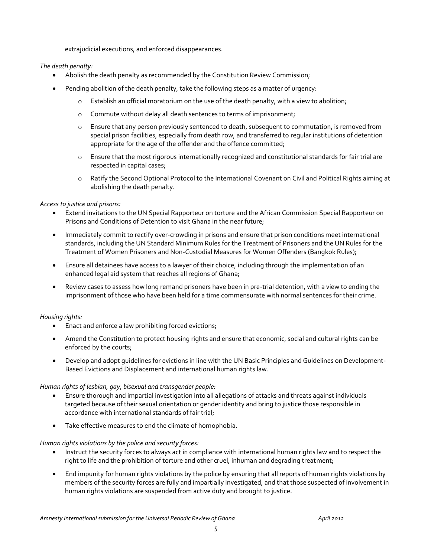extrajudicial executions, and enforced disappearances.

#### *The death penalty:*

- Abolish the death penalty as recommended by the Constitution Review Commission;
- Pending abolition of the death penalty, take the following steps as a matter of urgency:
	- $\circ$  Establish an official moratorium on the use of the death penalty, with a view to abolition;
	- o Commute without delay all death sentences to terms of imprisonment;
	- o Ensure that any person previously sentenced to death, subsequent to commutation, is removed from special prison facilities, especially from death row, and transferred to regular institutions of detention appropriate for the age of the offender and the offence committed;
	- o Ensure that the most rigorous internationally recognized and constitutional standards for fair trial are respected in capital cases;
	- o Ratify the Second Optional Protocol to the International Covenant on Civil and Political Rights aiming at abolishing the death penalty.

#### *Access to justice and prisons:*

- Extend invitations to the UN Special Rapporteur on torture and the African Commission Special Rapporteur on Prisons and Conditions of Detention to visit Ghana in the near future;
- Immediately commit to rectify over-crowding in prisons and ensure that prison conditions meet international standards, including the UN Standard Minimum Rules for the Treatment of Prisoners and the UN Rules for the Treatment of Women Prisoners and Non-Custodial Measures for Women Offenders (Bangkok Rules);
- Ensure all detainees have access to a lawyer of their choice, including through the implementation of an enhanced legal aid system that reaches all regions of Ghana;
- Review cases to assess how long remand prisoners have been in pre-trial detention, with a view to ending the imprisonment of those who have been held for a time commensurate with normal sentences for their crime.

#### *Housing rights:*

- Enact and enforce a law prohibiting forced evictions;
- Amend the Constitution to protect housing rights and ensure that economic, social and cultural rights can be enforced by the courts;
- Develop and adopt guidelines for evictions in line with the UN Basic Principles and Guidelines on Development-Based Evictions and Displacement and international human rights law.

#### *Human rights of lesbian, gay, bisexual and transgender people:*

- Ensure thorough and impartial investigation into all allegations of attacks and threats against individuals targeted because of their sexual orientation or gender identity and bring to justice those responsible in accordance with international standards of fair trial;
- Take effective measures to end the climate of homophobia.

#### *Human rights violations by the police and security forces:*

- Instruct the security forces to always act in compliance with international human rights law and to respect the right to life and the prohibition of torture and other cruel, inhuman and degrading treatment;
- End impunity for human rights violations by the police by ensuring that all reports of human rights violations by members of the security forces are fully and impartially investigated, and that those suspected of involvement in human rights violations are suspended from active duty and brought to justice.